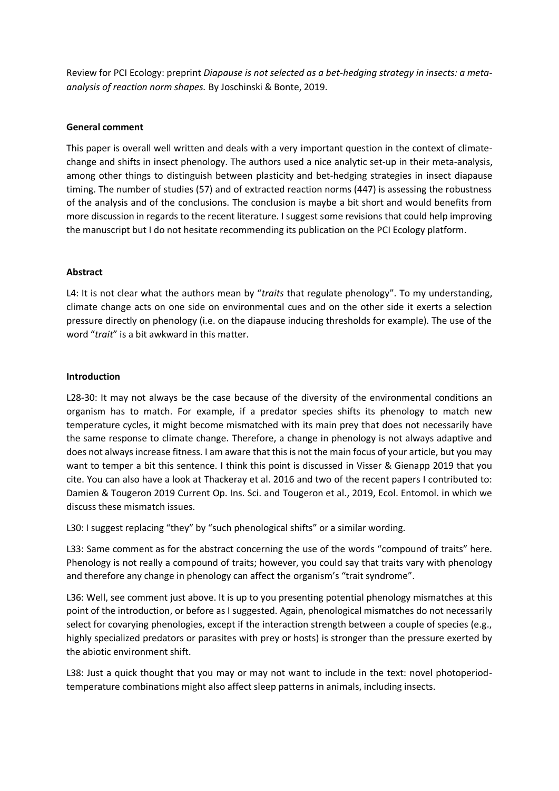Review for PCI Ecology: preprint *Diapause is not selected as a bet-hedging strategy in insects: a metaanalysis of reaction norm shapes.* By Joschinski & Bonte, 2019.

## **General comment**

This paper is overall well written and deals with a very important question in the context of climatechange and shifts in insect phenology. The authors used a nice analytic set-up in their meta-analysis, among other things to distinguish between plasticity and bet-hedging strategies in insect diapause timing. The number of studies (57) and of extracted reaction norms (447) is assessing the robustness of the analysis and of the conclusions. The conclusion is maybe a bit short and would benefits from more discussion in regards to the recent literature. I suggest some revisions that could help improving the manuscript but I do not hesitate recommending its publication on the PCI Ecology platform.

# **Abstract**

L4: It is not clear what the authors mean by "*traits* that regulate phenology". To my understanding, climate change acts on one side on environmental cues and on the other side it exerts a selection pressure directly on phenology (i.e. on the diapause inducing thresholds for example). The use of the word "*trait*" is a bit awkward in this matter.

## **Introduction**

L28-30: It may not always be the case because of the diversity of the environmental conditions an organism has to match. For example, if a predator species shifts its phenology to match new temperature cycles, it might become mismatched with its main prey that does not necessarily have the same response to climate change. Therefore, a change in phenology is not always adaptive and does not always increase fitness. I am aware that this is not the main focus of your article, but you may want to temper a bit this sentence. I think this point is discussed in Visser & Gienapp 2019 that you cite. You can also have a look at Thackeray et al. 2016 and two of the recent papers I contributed to: Damien & Tougeron 2019 Current Op. Ins. Sci. and Tougeron et al., 2019, Ecol. Entomol. in which we discuss these mismatch issues.

L30: I suggest replacing "they" by "such phenological shifts" or a similar wording.

L33: Same comment as for the abstract concerning the use of the words "compound of traits" here. Phenology is not really a compound of traits; however, you could say that traits vary with phenology and therefore any change in phenology can affect the organism's "trait syndrome".

L36: Well, see comment just above. It is up to you presenting potential phenology mismatches at this point of the introduction, or before as I suggested. Again, phenological mismatches do not necessarily select for covarying phenologies, except if the interaction strength between a couple of species (e.g., highly specialized predators or parasites with prey or hosts) is stronger than the pressure exerted by the abiotic environment shift.

L38: Just a quick thought that you may or may not want to include in the text: novel photoperiodtemperature combinations might also affect sleep patterns in animals, including insects.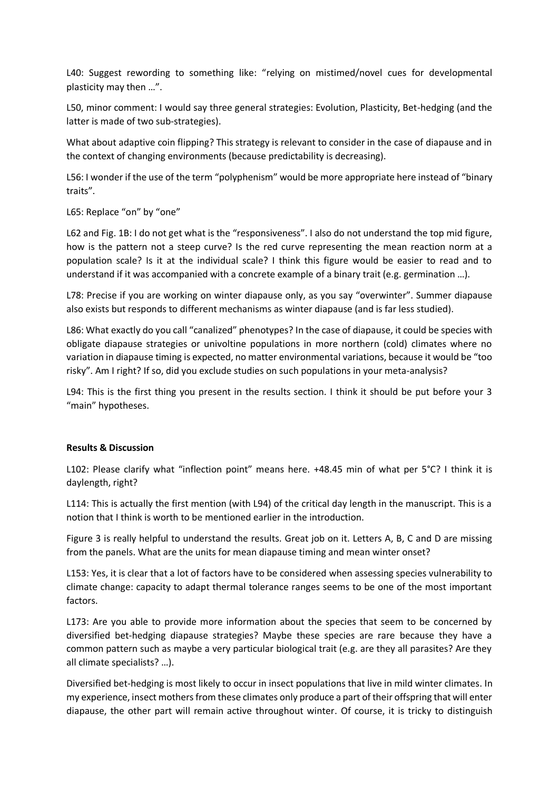L40: Suggest rewording to something like: "relying on mistimed/novel cues for developmental plasticity may then …".

L50, minor comment: I would say three general strategies: Evolution, Plasticity, Bet-hedging (and the latter is made of two sub-strategies).

What about adaptive coin flipping? This strategy is relevant to consider in the case of diapause and in the context of changing environments (because predictability is decreasing).

L56: I wonder if the use of the term "polyphenism" would be more appropriate here instead of "binary traits".

L65: Replace "on" by "one"

L62 and Fig. 1B: I do not get what is the "responsiveness". I also do not understand the top mid figure, how is the pattern not a steep curve? Is the red curve representing the mean reaction norm at a population scale? Is it at the individual scale? I think this figure would be easier to read and to understand if it was accompanied with a concrete example of a binary trait (e.g. germination …).

L78: Precise if you are working on winter diapause only, as you say "overwinter". Summer diapause also exists but responds to different mechanisms as winter diapause (and is far less studied).

L86: What exactly do you call "canalized" phenotypes? In the case of diapause, it could be species with obligate diapause strategies or univoltine populations in more northern (cold) climates where no variation in diapause timing is expected, no matter environmental variations, because it would be "too risky". Am I right? If so, did you exclude studies on such populations in your meta-analysis?

L94: This is the first thing you present in the results section. I think it should be put before your 3 "main" hypotheses.

## **Results & Discussion**

L102: Please clarify what "inflection point" means here. +48.45 min of what per 5°C? I think it is daylength, right?

L114: This is actually the first mention (with L94) of the critical day length in the manuscript. This is a notion that I think is worth to be mentioned earlier in the introduction.

Figure 3 is really helpful to understand the results. Great job on it. Letters A, B, C and D are missing from the panels. What are the units for mean diapause timing and mean winter onset?

L153: Yes, it is clear that a lot of factors have to be considered when assessing species vulnerability to climate change: capacity to adapt thermal tolerance ranges seems to be one of the most important factors.

L173: Are you able to provide more information about the species that seem to be concerned by diversified bet-hedging diapause strategies? Maybe these species are rare because they have a common pattern such as maybe a very particular biological trait (e.g. are they all parasites? Are they all climate specialists? …).

Diversified bet-hedging is most likely to occur in insect populations that live in mild winter climates. In my experience, insect mothers from these climates only produce a part of their offspring that will enter diapause, the other part will remain active throughout winter. Of course, it is tricky to distinguish